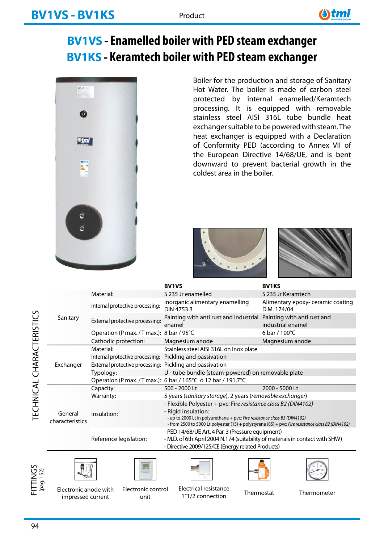

# **BV1VS - Enamelled boiler with PED steam exchanger BV1KS - Keramtech boiler with PED steam exchanger**



Boiler for the production and storage of Sanitary Hot Water. The boiler is made of carbon steel protected by internal enamelled/Keramtech processing. It is equipped with removable stainless steel AISI 316L tube bundle heat exchanger suitable to be powered with steam. The heat exchanger is equipped with a Declaration of Conformity PED (according to Annex VII of the European Directive 14/68/UE, and is bent downward to prevent bacterial growth in the coldest area in the boiler.





|  |                            |                                                          | <b>BV1VS</b>                                                                                                                                                                                                                                                             | <b>BV1KS</b>                                    |  |  |  |  |
|--|----------------------------|----------------------------------------------------------|--------------------------------------------------------------------------------------------------------------------------------------------------------------------------------------------------------------------------------------------------------------------------|-------------------------------------------------|--|--|--|--|
|  |                            | Material:                                                | S 235 Jr enamelled                                                                                                                                                                                                                                                       | S 235 Jr Keramtech                              |  |  |  |  |
|  |                            | Internal protective processing:                          | Inorganic alimentary enamelling<br>DIN 4753.3                                                                                                                                                                                                                            | Alimentary epoxy-ceramic coating<br>D.M. 174/04 |  |  |  |  |
|  | Sanitary                   | External protective processing:                          | Painting with anti rust and industrial Painting with anti rust and<br>enamel                                                                                                                                                                                             | industrial enamel                               |  |  |  |  |
|  |                            | Operation (P max. / T max.): 8 bar / 95°C                |                                                                                                                                                                                                                                                                          | 6 bar / $100^{\circ}$ C                         |  |  |  |  |
|  |                            | Cathodic protection:                                     | Magnesium anode                                                                                                                                                                                                                                                          | Magnesium anode                                 |  |  |  |  |
|  |                            | Material:                                                | Stainless steel AISI 316L on Inox plate                                                                                                                                                                                                                                  |                                                 |  |  |  |  |
|  |                            | Internal protective processing:                          | Pickling and passivation                                                                                                                                                                                                                                                 |                                                 |  |  |  |  |
|  | Exchanger                  | External protective processing: Pickling and passivation |                                                                                                                                                                                                                                                                          |                                                 |  |  |  |  |
|  |                            | Typology:                                                | U - tube bundle (steam-powered) on removable plate                                                                                                                                                                                                                       |                                                 |  |  |  |  |
|  |                            |                                                          | Operation (P max. / T max.): 6 bar / 165°C o 12 bar / 191,7°C                                                                                                                                                                                                            |                                                 |  |  |  |  |
|  |                            | Capacity:                                                | 500 - 2000 Lt                                                                                                                                                                                                                                                            | 2000 - 5000 Lt                                  |  |  |  |  |
|  |                            | Warranty:                                                | 5 years (sanitary storage), 2 years (removable exchanger)                                                                                                                                                                                                                |                                                 |  |  |  |  |
|  | General<br>characteristics | Insulation:                                              | - Flexible Polyester + pvc: Fire resistance class B2 (DIN4102)<br>- Rigid insulation:<br>- up to 2000 Lt in polyurethane + pvc: Fire resistance class B3 (DIN4102)<br>- from 2500 to 5000 Lt polyester (15) + polystyrene (85) + pvc: Fire resistance class B2 (DIN4102) |                                                 |  |  |  |  |
|  |                            |                                                          | - PED 14/68/UE Art. 4 Par. 3 (Pressure equipment)                                                                                                                                                                                                                        |                                                 |  |  |  |  |
|  |                            | Reference legislation:                                   | - M.D. of 6th April 2004 N.174 (suitability of materials in contact with SHW)                                                                                                                                                                                            |                                                 |  |  |  |  |
|  |                            |                                                          | - Directive 2009/125/CE (Energy related Products)                                                                                                                                                                                                                        |                                                 |  |  |  |  |











Electronic anode with Electronic control Electrical resistance<br>Thermostat Thermometer impressed current

Electronic control unit

1"1/2 connection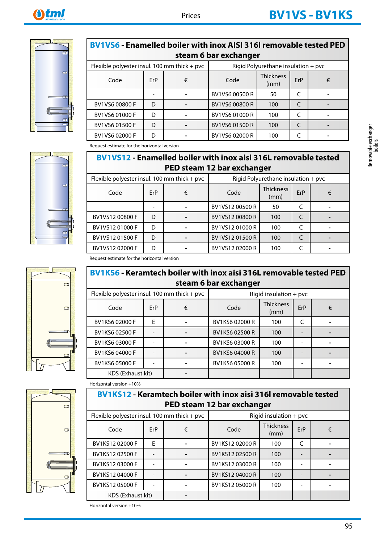

| steam 6 bar exchanger                        |          |  |                                     |                          |     |   |  |  |  |  |  |
|----------------------------------------------|----------|--|-------------------------------------|--------------------------|-----|---|--|--|--|--|--|
| Flexible polyester insul. 100 mm thick + pvc |          |  | Rigid Polyurethane insulation + pvc |                          |     |   |  |  |  |  |  |
| Code                                         | ErP<br>€ |  | Code                                | <b>Thickness</b><br>(mm) | ErP | € |  |  |  |  |  |
|                                              |          |  | BV1VS6 00500 R                      | 50                       |     |   |  |  |  |  |  |
| BV1VS6 00800 F                               | D        |  | BV1VS6 00800 R                      | 100                      |     |   |  |  |  |  |  |
| BV1VS6 01000 F                               | D        |  | BV1VS6 01000 R                      | 100                      |     |   |  |  |  |  |  |
| BV1VS6 01500 F                               | D        |  | BV1VS6 01500 R                      | 100                      |     |   |  |  |  |  |  |
| BV1VS6 02000 F                               | D        |  | BV1VS6 02000 R                      | 100                      |     |   |  |  |  |  |  |

**BV1VS6 - Enamelled boiler with inox AISI 316l removable tested PED** 

Request estimate for the horizontal version

#### **BV1VS12 - Enamelled boiler with inox aisi 316L removable tested PED steam 12 bar exchanger**

| Flexible polyester insul. 100 mm thick + pvc |          |  | Rigid Polyurethane insulation + pvc |                          |     |   |  |  |
|----------------------------------------------|----------|--|-------------------------------------|--------------------------|-----|---|--|--|
| Code                                         | ErP<br>€ |  | Code                                | <b>Thickness</b><br>(mm) | ErP | € |  |  |
|                                              |          |  | BV1VS12 00500 R                     | 50                       |     |   |  |  |
| BV1VS12 00800 F                              | D        |  | BV1VS12 00800 R                     | 100                      |     |   |  |  |
| BV1VS1201000F                                | D        |  | BV1VS1201000R                       | 100                      |     |   |  |  |
| BV1VS1201500F                                | D        |  | BV1VS1201500R                       | 100                      |     |   |  |  |
| BV1VS1202000F                                | D        |  | BV1VS1202000R                       | 100                      |     |   |  |  |







Request estimate for the horizontal version

#### **BV1KS6 - Keramtech boiler with inox aisi 316L removable tested PED steam 6 bar exchanger**

| Flexible polyester insul. 100 mm thick + pvc |     |   | Rigid insulation $+$ pvc |                          |     |   |  |  |
|----------------------------------------------|-----|---|--------------------------|--------------------------|-----|---|--|--|
| Code                                         | ErP | € | Code                     | <b>Thickness</b><br>(mm) | ErP | € |  |  |
| BV1KS6 02000 F                               | F   |   | BV1KS6 02000 R           | 100                      |     |   |  |  |
| BV1KS6 02500 F                               |     |   | BV1KS6 02500 R           | 100                      |     |   |  |  |
| BV1KS6 03000 F                               |     |   | BV1KS6 03000 R           | 100                      |     |   |  |  |
| BV1KS6 04000 F                               |     |   | BV1KS6 04000 R           | 100                      |     |   |  |  |
| BV1KS6 05000 F                               |     |   | BV1KS6 05000 R           | 100                      |     |   |  |  |
| KDS (Exhaust kit)                            |     |   |                          |                          |     |   |  |  |

Horizontal version +10%

### **BV1KS12 - Keramtech boiler with inox aisi 316l removable tested PED steam 12 bar exchanger**

| Flexible polyester insul. 100 mm thick + pvc |     |   | Rigid insulation $+$ pvc |     |   |  |  |  |
|----------------------------------------------|-----|---|--------------------------|-----|---|--|--|--|
| Code                                         | ErP | € | Code                     | ErP | € |  |  |  |
| BV1KS1202000F                                | F   |   | BV1KS1202000R            | 100 |   |  |  |  |
| BV1KS1202500F                                |     |   | BV1KS12 02500 R          | 100 |   |  |  |  |
| BV1KS1203000F                                |     |   | BV1KS12 03000 R          | 100 |   |  |  |  |
| BV1KS12 04000 F                              |     |   | BV1KS12 04000 R          | 100 |   |  |  |  |
| BV1KS12 05000 F                              |     |   | BV1KS12 05000 R          | 100 |   |  |  |  |
| <b>KDS (Exhaust kit)</b>                     |     |   |                          |     |   |  |  |  |

Removable exchanger<br>boilers

Horizontal version +10%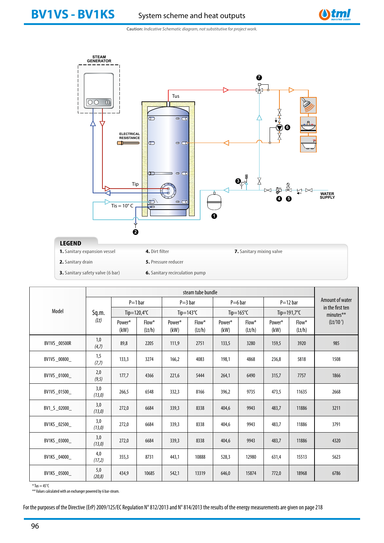

**Caution:** *Indicative Schematic diagram, not substitutive for project work.*



| <b>3.</b> Sanitary safety valve (6 bar) | <b>6.</b> Sanitary |
|-----------------------------------------|--------------------|
|                                         |                    |

|               |                | $P=1$ bar<br>Tip=120,4 $\degree$ C |                 |                     | $P = 3 bar$        |                | $P=6$ bar       |                | $P=12$ bar      | Amount of water               |  |
|---------------|----------------|------------------------------------|-----------------|---------------------|--------------------|----------------|-----------------|----------------|-----------------|-------------------------------|--|
| Model         | Sq.m.          |                                    |                 | Tip=143 $\degree$ C |                    | Tip=165 $°C$   |                 | Tip=191,7 $°C$ |                 | in the first ten<br>minutes** |  |
|               | (2t)           | Power*<br>(kW)                     | Flow*<br>(Lt/h) | Power*<br>(kW)      | $Flow^*$<br>(lt/h) | Power*<br>(kW) | Flow*<br>(Lt/h) | Power*<br>(kW) | Flow*<br>(Lt/h) | (Lt/10')                      |  |
| BV1VS _00500R | 1,0<br>(4,7)   | 89,8                               | 2205            | 111,9               | 2751               | 133,5          | 3280            | 159,5          | 3920            | 985                           |  |
| BV1VS _00800_ | 1,5<br>(7,7)   | 133,3                              | 3274            | 166,2               | 4083               | 198,1          | 4868            | 236,8          | 5818            | 1508                          |  |
| BV1VS_01000_  | 2,0<br>(9, 5)  | 177,7                              | 4366            | 221,6               | 5444               | 264,1          | 6490            | 315,7          | 7757            | 1866                          |  |
| BV1VS _01500  | 3,0<br>(13,0)  | 266,5                              | 6548            | 332,3               | 8166               | 396,2          | 9735            | 473,5          | 11635           | 2668                          |  |
| BV1_S_02000_  | 3,0<br>(13,0)  | 272,0                              | 6684            | 339,3               | 8338               | 404,6          | 9943            | 483,7          | 11886           | 3211                          |  |
| BV1KS_02500_  | 3,0<br>(13, 0) | 272,0                              | 6684            | 339,3               | 8338               | 404,6          | 9943            | 483,7          | 11886           | 3791                          |  |
| BV1KS_03000_  | 3,0<br>(13, 0) | 272,0                              | 6684            | 339,3               | 8338               | 404,6          | 9943            | 483,7          | 11886           | 4320                          |  |
| BV1KS _04000_ | 4,0<br>(17,2)  | 355,3                              | 8731            | 443,1               | 10888              | 528,3          | 12980           | 631,4          | 15513           | 5623                          |  |
| BV1KS _05000_ | 5,0<br>(20, 8) | 434,9                              | 10685           | 542,1               | 13319              | 646,0          | 15874           | 772,0          | 18968           | 6786                          |  |

 $*$  Tus = 45 $°C$ 

\*\* Values calculated with an exchanger powered by 6 bar-steam.

For the purposes of the Directive (ErP) 2009/125/EC Regulation N° 812/2013 and N° 814/2013 the results of the energy measurements are given on page 218